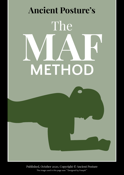

Published, October 2020, Copyright © Ancient Posture

The image used in this page was ""Designed by Freepik""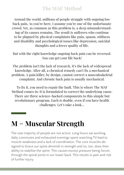Around the world, millions of people struggle with ongoing low back pain. As you're here, I assume you're one of the unfortunate crowd. Yet, as common as this problem is, a deep misunderstanding of its causes remains. The result is sufferers who continue to be plagued by physical complaints like pain, spasm, stiffness and disability and psychological issues like depression, suicidal thoughts and a lower quality of life.

But with the right knowledge ongoing back pain can be reversed. You can get your life back!

The problem isn't the lack of research, it's the lack of widespread knowledge. After all, a chemical remedy can't fix a mechanical problem. A pain killer, by design, cannot correct a musculoskeletal complaint. And chronic back pain is usually mechanical.

To fix it, you need to repair the fault. This is where The MAF Method comes in: It is formulated to correct the underlying cause. There are three science-backed components to this simple but revolutionary program. Each is doable, even if you have health challenges. Let's take a look…

# **M = Muscular Strength**

The vast majority of people are not active. Long hours sat working, daily commutes and exhausted evenings spent watching TV lead to muscle weakness and a lack of coordination. The core muscles designed to brace our spine diminish in strength and so, too, does their ability to stabilize the spine. This causes excess pressure being forces through the spinal joints in our lower back. This results in pain and risk of further injury.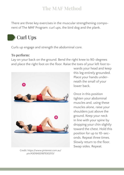There are three key exercises in the muscular strengthening component of The MAF Program: curl ups, the bird dog and the plank.

# Curl Ups

Curls up engage and strength the abdominal core.

### **To perform:**

Lay on your back on the ground. Bend the right knee to 90-degrees and place the right foot on the floor. Raise the toes of your left foot to-



Credit: https://www.pinterest.com.au/ pin/430164201879302113/

wards your head and keep this leg entirely grounded. Place your hands underneath the small of your lower back.

Once in this position tighten your abdominal muscles and, using these muscles alone, raise your shoulders just above the ground. Keep your neck in line with your spine by dropping your chin slightly toward the chest. Hold this position for up to 10-seconds. Repeat three times. Slowly return to the floor. Swap sides. Repeat.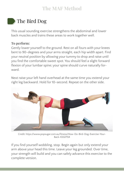## The Bird Dog

This usual sounding exercise strengthens the abdominal and lower back muscles and trains these areas to work together well.

### **To perform:**

Gently lower yourself to the ground. Rest on all fours with your knees bent to 90-degrees and your arms straight, each hip width apart. Find your neutral position by allowing your tummy to drop and raise until you find the comfortable sweet spot. You should feel a slight forward flexion of your lumbar spine; your spine should curve naturally forward.

Next raise your left hand overhead at the same time you extend your right leg backward. Hold for 10-second. Repeat on the other side.



Credit: https://www.popsugar.com.au/fitness/How-Do-Bird-Dog-Exercise-Your-Back-43327154

If you find yourself wobbling, stop. Begin again but only extend your arm above your head this time. Leave your leg grounded. Over time, your strength will build and you can safely advance this exercise to the complete version.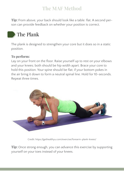**Tip:** From above, your back should look like a table: flat. A second person can provide feedback on whether your position is correct.

## The Plank

The plank is designed to strengthen your core but it does so in a static position.

#### **To perform:**

Lay on your front on the floor. Raise yourself up to rest on your elbows and your knees; both should be hip width apart. Brace your core to hold this position. Your spine should be flat; if your bottom pokes in the air bring it down to form a neutral spinal line. Hold for 10-seconds. Repeat three times.



Credit: https://gethealthyu.com/exercise/forearm-plank-knees/

**Tip:** Once strong enough, you can advance this exercise by supporting yourself on your toes instead of your knees.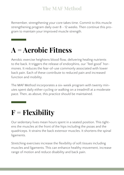Remember, strengthening your core takes time. Commit to this muscle strengthening program daily over 8 - 12 weeks. Then continue this program to maintain your improved muscle strength.

# **A = Aerobic Fitness**

Aerobic exercise heightens blood flow, delivering healing nutrients to the back. It triggers the release of endorphins, our "feel good" hormones. It reduces the fear-of-use commonly associated with lower back pain. Each of these contribute to reduced pain and increased function and mobility.

The MAF Method incorporates a six-week program with twenty minutes spent daily either cycling or walking on a treadmill at a moderate pace. Then, as above, this practice should be maintained.

# **F = Flexibility**

Our sedentary lives mean hours spent in a seated position. This tightens the muscles at the front of the hips including the psoas and the quadriceps. It strains the back extensor muscles. It shortens the spinal ligaments.

Stretching exercises increase the flexibility of soft tissues including muscles and ligaments. This can enhance healthy movement, increase range of motion and reduce disability and back pain.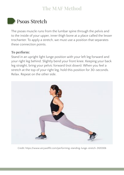## Psoas Stretch

The psoas muscle runs from the lumbar spine through the pelvis and to the inside of your upper, inner thigh bone at a place called the lesser trochanter. To apply a stretch, we must use a position that separates these connection points.

#### **To perform:**

Stand in an upright light lunge position with your left leg forward and your right leg behind. Slightly bend your front knee. Keeping your back leg straight, bring your pelvic forward (not down). When you feel a stretch at the top of your right leg, hold this position for 30-seconds. Relax. Repeat on the other side.



Credit: https://www.verywellfit.com/performing-standing-lunge-stretch-3120306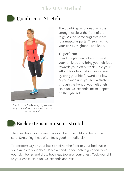

### Quadriceps Stretch



Credit: https://nelsonbayphysiotherapy.com.au/exercise-extra-quadriceps-stretch/

The quadricep  $-$  or quad  $-$  is the strong muscle at the front of the thigh. As the name suggests it has four muscular parts. They attach to your pelvis, thighbone and knee.

#### **To perform:**

Stand upright near a bench. Bend your left knee and bring your left foot towards your left buttock. Hold your left ankle or foot behind you. Gently bring your hip forward and lower your knee until you feel a stretch through the front of your left thigh. Hold for 30-seconds. Relax. Repeat on the right side.

### Back extensor muscles stretch

The muscles in your lower back can become tight and feel stiff and sore. Stretching these often feels good immediately.

To perform: Lay on your back on either the floor or your bed. Raise your knees to your chest. Place a hand under each thigh or on top of your skin bones and draw both legs towards your chest. Tuck your chin to your chest. Hold for 30-seconds and rest.